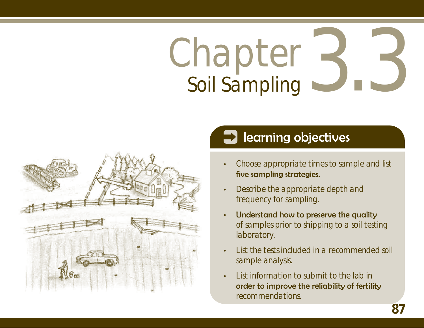# Chapter Soil Sampling 3.3



# **1** learning objectives

- Choose appropriate times to sample and list five sampling strategies. •
- Describe the appropriate depth and frequency for sampling. •
- Understand how to preserve the quality of samples prior to shipping to a soil testing laboratory. •
- List the tests included in a recommended soil sample analysis. •
- List information to submit to the lab in order to improve the reliability of fertility recommendations. •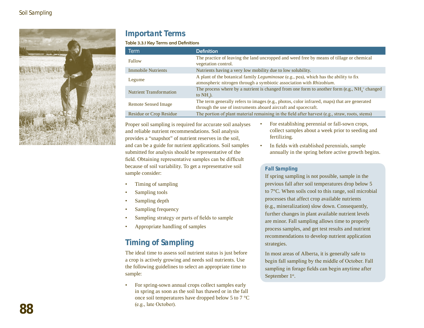

#### **Important Terms**

Table 3.3.1 Key Terms and Definitions

| <b>Term</b>                    | <b>Definition</b>                                                                                                                                             |
|--------------------------------|---------------------------------------------------------------------------------------------------------------------------------------------------------------|
| Fallow                         | The practice of leaving the land uncropped and weed free by means of tillage or chemical<br>vegetation control.                                               |
| <b>Immobile Nutrients</b>      | Nutrients having a very low mobility due to low solubility.                                                                                                   |
| Legume                         | A plant of the botanical family Leguminosae (e.g., pea), which has the ability to fix<br>atmospheric nitrogen through a symbiotic association with Rhizobium. |
| <b>Nutrient Transformation</b> | The process where by a nutrient is changed from one form to another form (e.g., $NH_{4}^+$ changed<br>to $NH2$ ).                                             |
| <b>Remote Sensed Image</b>     | The term generally refers to images (e.g., photos, color infrared, maps) that are generated<br>through the use of instruments aboard aircraft and spacecraft. |
| <b>Residue or Crop Residue</b> | The portion of plant material remaining in the field after harvest (e.g., straw, roots, stems)                                                                |

•

Proper soil sampling is required for accurate soil analyses and reliable nutrient recommendations. Soil analysis provides a "snapshot" of nutrient reserves in the soil, and can be a guide for nutrient applications. Soil samples submitted for analysis should be representative of the field. Obtaining representative samples can be difficult because of soil variability. To get a representative soil sample consider:

- For establishing perennial or fall-sown crops, collect samples about a week prior to seeding and fertilizing.
- In fields with established perennials, sample annually in the spring before active growth begins. •

#### **Fall Sampling**

If spring sampling is not possible, sample in the previous fall after soil temperatures drop below 5 to 7°C. When soils cool to this range, soil microbial processes that affect crop available nutrients (e.g., mineralization) slow down. Consequently, further changes in plant available nutrient levels are minor. Fall sampling allows time to properly process samples, and get test results and nutrient recommendations to develop nutrient application strategies.

In most areas of Alberta, it is generally safe to begin fall sampling by the middle of October. Fall sampling in forage fields can begin anytime after September 1<sup>st</sup>.

#### Timing of sampling •

- Sampling tools •
- Sampling depth •
- Sampling frequency •
- Sampling strategy or parts of fields to sample •
- Appropriate handling of samples •

## **Timing of Sampling**

The ideal time to assess soil nutrient status is just before a crop is actively growing and needs soil nutrients. Use the following guidelines to select an appropriate time to sample:

For spring-sown annual crops collect samples early in spring as soon as the soil has thawed or in the fall once soil temperatures have dropped below 5 to 7 °C (e.g., late October). •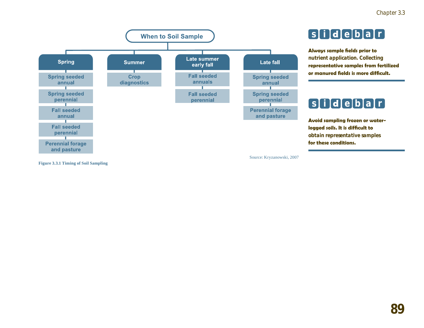

# **s i d e b a r**

**Always sample fields prior to nutrient application. Collecting representative samples from fertilized or manured fields is more difficult.**

# **s i d e b a r**

**Avoid sampling frozen or waterlogged soils. It is difficult to obtain representative samples for these conditions.**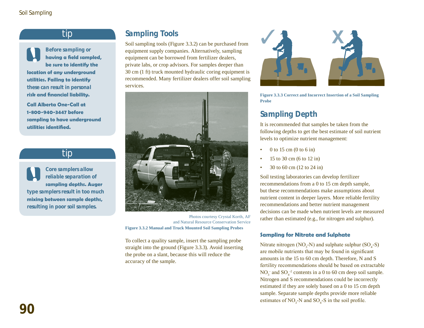#### tip



**Before sampling or having a field sampled, be sure to identify the location of any underground** 

**utilities. Failing to identify these can result in personal risk and financial liability.**

**Call Alberta One-Call at 1-800-940-3447 before sampling to have underground utilities identified.** 

#### tip

**Core samplers allow reliable separation of sampling depths. Auger type samplers result in too much mixing between sample depths, resulting in poor soil samples.** 

#### **Sampling Tools**

Soil sampling tools (Figure 3.3.2) can be purchased from equipment supply companies. Alternatively, sampling equipment can be borrowed from fertilizer dealers, private labs, or crop advisors. For samples deeper than 30 cm (1 ft) truck mounted hydraulic coring equipment is recommended. Many fertilizer dealers offer soil sampling services.



Photos courtesy Crystal Korth, AF and Natural Resource Conservation Service **Figure 3.3.2 Manual and Truck Mounted Soil Sampling Probes**

To collect a quality sample, insert the sampling probe straight into the ground (Figure 3.3.3). Avoid inserting the probe on a slant, because this will reduce the accuracy of the sample.



**Figure 3.3.3 Correct and Incorrect Insertion of a Soil Sampling Probe**

#### **Sampling Depth**

It is recommended that samples be taken from the following depths to get the best estimate of soil nutrient levels to optimize nutrient management:

- 0 to 15 cm (0 to 6 in) •
- 15 to 30 cm (6 to 12 in) •
- 30 to 60 cm (12 to 24 in) •

Soil testing laboratories can develop fertilizer recommendations from a 0 to 15 cm depth sample, but these recommendations make assumptions about nutrient content in deeper layers. More reliable fertility recommendations and better nutrient management decisions can be made when nutrient levels are measured rather than estimated (e.g., for nitrogen and sulphur).

#### **Sampling for Nitrate and Sulphate**

Nitrate nitrogen ( $NO_3$ -N) and sulphate sulphur ( $SO_4$ -S) are mobile nutrients that may be found in significant amounts in the 15 to 60 cm depth. Therefore, N and S fertility recommendations should be based on extractable  $NO_3$  and  $SO_4^2$  contents in a 0 to 60 cm deep soil sample. Nitrogen and S recommendations could be incorrectly estimated if they are solely based on a 0 to 15 cm depth sample. Separate sample depths provide more reliable estimates of  $NO_3$ -N and  $SO_4$ -S in the soil profile.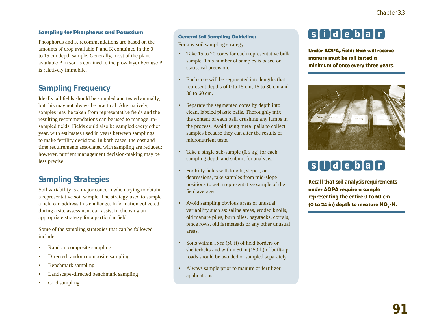Phosphorus and K recommendations are based on the amounts of crop available P and K contained in the 0 to 15 cm depth sample. Generally, most of the plant available P in soil is confined to the plow layer because P is relatively immobile.

#### **Sampling Frequency**

Ideally, all fields should be sampled and tested annually, but this may not always be practical. Alternatively, samples may be taken from representative fields and the resulting recommendations can be used to manage unsampled fields. Fields could also be sampled every other year, with estimates used in years between samplings to make fertility decisions. In both cases, the cost and time requirements associated with sampling are reduced; however, nutrient management decision-making may be less precise.

#### **Sampling Strategies**

Soil variability is a major concern when trying to obtain a representative soil sample. The strategy used to sample a field can address this challenge. Information collected during a site assessment can assist in choosing an appropriate strategy for a particular field.

Some of the sampling strategies that can be followed include:

- Random composite sampling •
- Directed random composite sampling •
- Benchmark sampling •
- Landscape-directed benchmark sampling •
- Grid sampling •

#### **General Soil Sampling Guidelines**

For any soil sampling strategy:

- Take 15 to 20 cores for each representative bulk sample. This number of samples is based on statistical precision. •
- Each core will be segmented into lengths that represent depths of 0 to 15 cm, 15 to 30 cm and 30 to 60 cm. •
- Separate the segmented cores by depth into clean, labeled plastic pails. Thoroughly mix the content of each pail, crushing any lumps in the process. Avoid using metal pails to collect samples because they can alter the results of micronutrient tests.
- Take a single sub-sample (0.5 kg) for each sampling depth and submit for analysis.
- For hilly fields with knolls, slopes, or depressions, take samples from mid-slope positions to get a representative sample of the field average.
- Avoid sampling obvious areas of unusual variability such as: saline areas, eroded knolls, old manure piles, burn piles, haystacks, corrals, fence rows, old farmsteads or any other unusual areas.
- Soils within 15 m (50 ft) of field borders or shelterbelts and within 50 m (150 ft) of built-up roads should be avoided or sampled separately. •
- Always sample prior to manure or fertilizer applications. •

# **s i d e b a r Sampling for Phosphorus and Potassium**

**Under AOPA, fields that will receive manure must be soil tested a minimum of once every three years.**



# **s i d e b a r**

**Recall that soil analysis requirements under AOPA require a sample representing the entire 0 to 60 cm**  (0 to 24 in) depth to measure NO<sub>3</sub>-N.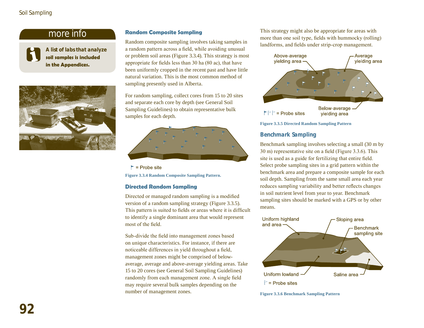#### Soil Sampling

#### more info



**A list of labs that analyze soil samples is included in the Appendices.**



#### **Random Composite Sampling**

Random composite sampling involves taking samples in a random pattern across a field, while avoiding unusual or problem soil areas (Figure 3.3.4). This strategy is most appropriate for fields less than 30 ha (80 ac), that have been uniformly cropped in the recent past and have little natural variation. This is the most common method of sampling presently used in Alberta.

For random sampling, collect cores from 15 to 20 sites and separate each core by depth (see General Soil Sampling Guidelines) to obtain representative bulk samples for each depth.



 $\blacktriangleright$  = Probe site **Figure 3.3.4 Random Composite Sampling Pattern.**

#### **Directed Random Sampling**

Directed or managed random sampling is a modified version of a random sampling strategy (Figure 3.3.5). This pattern is suited to fields or areas where it is difficult to identify a single dominant area that would represent most of the field.

Sub-divide the field into management zones based on unique characteristics. For instance, if there are noticeable differences in yield throughout a field, management zones might be comprised of belowaverage, average and above-average yielding areas. Take 15 to 20 cores (see General Soil Sampling Guidelines) randomly from each management zone. A single field may require several bulk samples depending on the number of management zones.

This strategy might also be appropriate for areas with more than one soil type, fields with hummocky (rolling) landforms, and fields under strip-crop management.



**Figure 3.3.5 Directed Random Sampling Pattern** 

#### **Benchmark Sampling**

Benchmark sampling involves selecting a small (30 m by 30 m) representative site on a field (Figure 3.3.6). This site is used as a guide for fertilizing that entire field. Select probe sampling sites in a grid pattern within the benchmark area and prepare a composite sample for each soil depth. Sampling from the same small area each year reduces sampling variability and better reflects changes in soil nutrient level from year to year. Benchmark sampling sites should be marked with a GPS or by other means.



**Figure 3.3.6 Benchmark Sampling Pattern**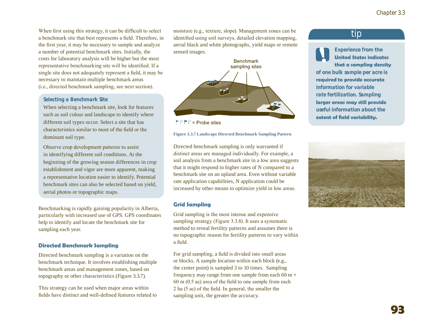When first using this strategy, it can be difficult to select a benchmark site that best represents a field. Therefore, in the first year, it may be necessary to sample and analyze a number of potential benchmark sites. Initially, the costs for laboratory analysis will be higher but the most representative benchmarking site will be identified. If a single site does not adequately represent a field, it may be necessary to maintain multiple benchmark areas (i.e., directed benchmark sampling, see next section).

#### **Selecting a Benchmark Site**

When selecting a benchmark site, look for features such as soil colour and landscape to identify where different soil types occur. Select a site that has characteristics similar to most of the field or the dominant soil type.

Observe crop development patterns to assist in identifying different soil conditions. At the beginning of the growing season differences in crop establishment and vigor are more apparent, making a representative location easier to identify. Potential benchmark sites can also be selected based on yield, aerial photos or topographic maps.

Benchmarking is rapidly gaining popularity in Alberta, particularly with increased use of GPS. GPS coordinates help to identify and locate the benchmark site for sampling each year.

#### **Directed Benchmark Sampling**

Directed benchmark sampling is a variation on the benchmark technique. It involves establishing multiple benchmark areas and management zones, based on topography or other characteristics (Figure 3.3.7).

This strategy can be used when major areas within fields have distinct and well-defined features related to moisture (e.g., texture, slope). Management zones can be identified using soil surveys, detailed elevation mapping, aerial black and white photographs, yield maps or remote sensed images.



 $\Gamma \Gamma \Gamma =$  Probe sites

**Figure 3.3.7 Landscape Directed Benchmark Sampling Pattern** 

Directed benchmark sampling is only warranted if distinct areas are managed individually. For example, a soil analysis from a benchmark site in a low area suggests that it might respond to higher rates of N compared to a benchmark site on an upland area. Even without variable rate application capabilities, N application could be increased by other means to optimize yield in low areas.

#### **Grid Sampling**

Grid sampling is the most intense and expensive sampling strategy (Figure 3.3.8). It uses a systematic method to reveal fertility patterns and assumes there is no topographic reason for fertility patterns to vary within a field.

For grid sampling, a field is divided into small areas or blocks. A sample location within each block (e.g., the center point) is sampled 3 to 10 times. Sampling frequency may range from one sample from each 60 m  $\times$ 60 m (0.5 ac) area of the field to one sample from each 2 ha (5 ac) of the field. In general, the smaller the sampling unit, the greater the accuracy.

#### tip

**Experience from the United States indicates that a sampling density of one bulk sample per acre is required to provide accurate information for variable rate fertilization. Sampling larger areas may still provide useful information about the extent of field variability.**

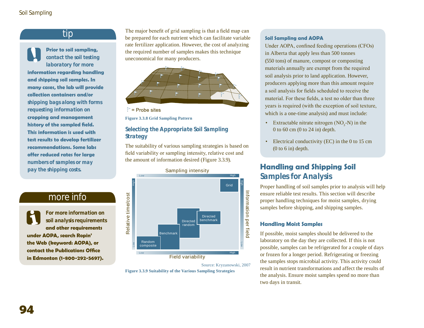#### tip

**Prior to soil sampling, contact the soil testing laboratory for more information regarding handling and shipping soil samples. In many cases, the lab will provide collection containers and/or shipping bags along with forms requesting information on cropping and management history of the sampled field. This information is used with test results to develop fertilizer recommendations. Some labs offer reduced rates for large numbers of samples or may pay the shipping costs.**

#### more info

**For more information on soil analysis requirements and other requirements under AOPA, search Ropin' the Web (keyword: AOPA), or contact the Publications Office** 

The major benefit of grid sampling is that a field map can be prepared for each nutrient which can facilitate variable rate fertilizer application. However, the cost of analyzing the required number of samples makes this technique uneconomical for many producers.



 $\triangleright$  = Probe sites

**Figure 3.3.8 Grid Sampling Pattern** 

#### **Selecting the Appropriate Soil Sampling Strategy**

The suitability of various sampling strategies is based on field variability or sampling intensity, relative cost and the amount of information desired (Figure 3.3.9).



Source: Kryzanowski, 2007 **Figure 3.3.9 Suitability of the Various Sampling Strategies** 

#### **Soil Sampling and AOPA**

Under AOPA, confined feeding operations (CFOs) in Alberta that apply less than 500 tonnes (550 tons) of manure, compost or composting materials annually are exempt from the required soil analysis prior to land application. However, producers applying more than this amount require a soil analysis for fields scheduled to receive the material. For these fields, a test no older than three years is required (with the exception of soil texture, which is a one-time analysis) and must include:

- Extractable nitrate nitrogen  $(NO<sub>3</sub>-N)$  in the 0 to 60 cm  $(0 \text{ to } 24 \text{ in})$  depth.
- Electrical conductivity (EC) in the 0 to 15 cm  $(0 to 6 in)$  depth.

#### **Handling and Shipping Soil Samples for Analysis**

Proper handling of soil samples prior to analysis will help ensure reliable test results. This section will describe proper handling techniques for moist samples, drying samples before shipping, and shipping samples.

#### **Handling Moist Samples**

If possible, moist samples should be delivered to the laboratory on the day they are collected. If this is not possible, samples can be refrigerated for a couple of days or frozen for a longer period. Refrigerating or freezing the samples stops microbial activity. This activity could result in nutrient transformations and affect the results of the analysis. Ensure moist samples spend no more than two days in transit.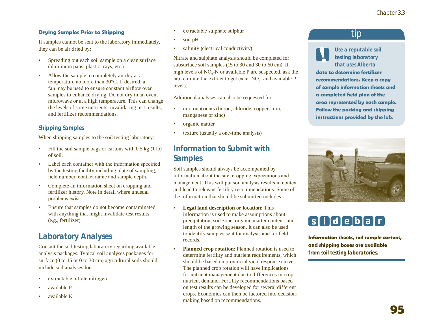#### **Drying Samples Prior to Shipping**

If samples cannot be sent to the laboratory immediately, they can be air dried by:

- Spreading out each soil sample on a clean surface (aluminum pans, plastic trays, etc.). •
- Allow the sample to completely air dry at a temperature no more than 30°C. If desired, a fan may be used to ensure constant airflow over samples to enhance drying. Do not dry in an oven, microwave or at a high temperature. This can change the levels of some nutrients, invalidating test results, and fertilizer recommendations. •

#### **Shipping Samples**

When shipping samples to the soil testing laboratory:

- Fill the soil sample bags or cartons with 0.5 kg (1 lb) of soil. •
- Label each container with the information specified by the testing facility including: date of sampling, field number, contact name and sample depth. •
- Complete an information sheet on cropping and fertilizer history. Note in detail where unusual problems exist. •
- Ensure that samples do not become contaminated with anything that might invalidate test results (e.g., fertilizer). •

### **Laboratory Analyses**

Consult the soil testing laboratory regarding available analysis packages. Typical soil analyses packages for surface (0 to 15 or 0 to 30 cm) agricultural soils should include soil analyses for:

- extractable nitrate nitrogen •
- available P •
- available K •
- extractable sulphate sulphur •
- soil pH •
- salinity (electrical conductivity) •

Nitrate and sulphate analysis should be completed for subsurface soil samples (15 to 30 and 30 to 60 cm). If high levels of  $NO_3$ -N or available P are suspected, ask the lab to dilute the extract to get exact  $NO_3^-$  and available P levels.

Additional analyses can also be requested for:

- micronutrients (boron, chloride, copper, iron, manganese or zinc) •
- organic matter •
- texture (usually a one-time analysis) •

#### **Information to Submit with Samples**

Soil samples should always be accompanied by information about the site, cropping expectations and management. This will put soil analysis results in context and lead to relevant fertility recommendations. Some of the information that should be submitted includes:

- **Legal land description or location:** This information is used to make assumptions about precipitation, soil zone, organic matter content, and length of the growing season. It can also be used to identify samples sent for analysis and for field records. **•**
- **Planned crop rotation:** Planned rotation is used to determine fertility and nutrient requirements, which should be based on provincial yield response curves. The planned crop rotation will have implications for nutrient management due to differences in crop nutrient demand. Fertility recommendations based on test results can be developed for several different crops. Economics can then be factored into decisionmaking based on recommendations. **•**

#### tip

**Use a reputable soil testing laboratory that uses Alberta** 

**data to determine fertilizer recommendations. Keep a copy of sample information sheets and a completed field plan of the area represented by each sample. Follow the packing and shipping instructions provided by the lab.** 



# **s i d e b a r**

**Information sheets, soil sample cartons, and shipping boxes are available from soil testing laboratories.**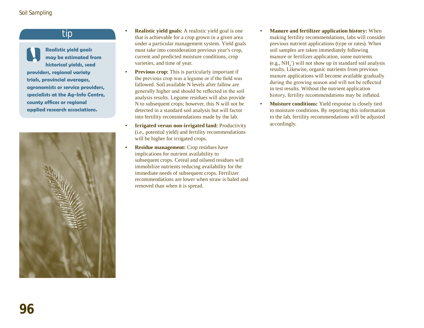#### tip

**•**

**Realistic yield goals may be estimated from historical yields, seed providers, regional variety trials, provincial averages, agronomists or service providers, specialists at the Ag-Info Centre, county offices or regional applied research associations.** 



- **Realistic yield goals:** A realistic yield goal is one that is achievable for a crop grown in a given area under a particular management system. Yield goals must take into consideration previous year's crop, current and predicted moisture conditions, crop varieties, and time of year.
- **Previous crop:** This is particularly important if the previous crop was a legume or if the field was fallowed. Soil available N levels after fallow are generally higher and should be reflected in the soil analysis results. Legume residues will also provide N to subsequent crops; however, this N will not be detected in a standard soil analysis but will factor into fertility recommendations made by the lab. **•**
- **Irrigated versus non-irrigated land:** Productivity (i.e., potential yield) and fertility recommendations will be higher for irrigated crops. **•**
- **Residue management:** Crop residues have implications for nutrient availability to subsequent crops. Cereal and oilseed residues will immobilize nutrients reducing availability for the immediate needs of subsequent crops. Fertilizer recommendations are lower when straw is baled and removed than when it is spread. **•**
- **Manure and fertilizer application history:** When making fertility recommendations, labs will consider previous nutrient applications (type or rates). When soil samples are taken immediately following manure or fertilizer application, some nutrients (e.g.,  $NH<sub>4</sub>$ <sup>+</sup>) will not show up in standard soil analysis results. Likewise, organic nutrients from previous manure applications will become available gradually during the growing season and will not be reflected in test results. Without the nutrient application history, fertility recommendations may be inflated. **•**
- **Moisture conditions:** Yield response is closely tied to moisture conditions. By reporting this information to the lab, fertility recommendations will be adjusted accordingly. **•**